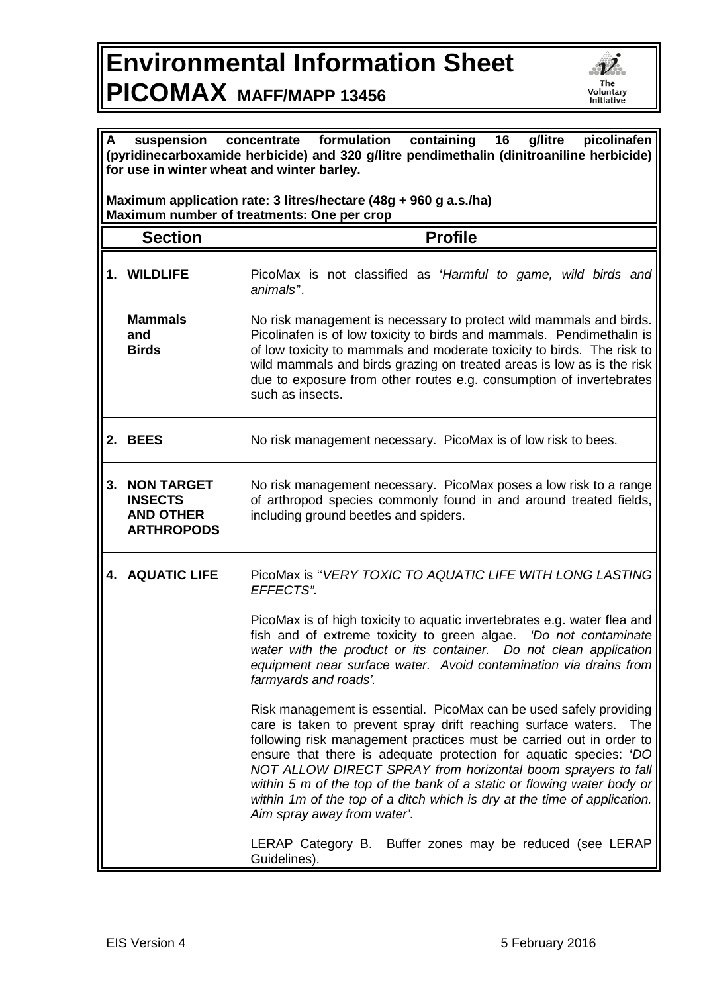## **Environmental Information Sheet PICOMAX MAFF/MAPP 13456**



| A<br>containing 16<br>picolinafen<br>concentrate formulation<br>g/litre<br>suspension<br>(pyridinecarboxamide herbicide) and 320 g/litre pendimethalin (dinitroaniline herbicide)<br>for use in winter wheat and winter barley. |                                                                              |                                                                                                                                                                                                                                                                                                                                                                                                                                                                                                                                             |  |
|---------------------------------------------------------------------------------------------------------------------------------------------------------------------------------------------------------------------------------|------------------------------------------------------------------------------|---------------------------------------------------------------------------------------------------------------------------------------------------------------------------------------------------------------------------------------------------------------------------------------------------------------------------------------------------------------------------------------------------------------------------------------------------------------------------------------------------------------------------------------------|--|
| Maximum application rate: 3 litres/hectare (48g + 960 g a.s./ha)<br>Maximum number of treatments: One per crop                                                                                                                  |                                                                              |                                                                                                                                                                                                                                                                                                                                                                                                                                                                                                                                             |  |
|                                                                                                                                                                                                                                 | <b>Section</b>                                                               | <b>Profile</b>                                                                                                                                                                                                                                                                                                                                                                                                                                                                                                                              |  |
|                                                                                                                                                                                                                                 | 1. WILDLIFE                                                                  | PicoMax is not classified as 'Harmful to game, wild birds and<br>animals <sup>"</sup> .                                                                                                                                                                                                                                                                                                                                                                                                                                                     |  |
|                                                                                                                                                                                                                                 | <b>Mammals</b><br>and<br><b>Birds</b>                                        | No risk management is necessary to protect wild mammals and birds.<br>Picolinafen is of low toxicity to birds and mammals. Pendimethalin is<br>of low toxicity to mammals and moderate toxicity to birds. The risk to<br>wild mammals and birds grazing on treated areas is low as is the risk<br>due to exposure from other routes e.g. consumption of invertebrates<br>such as insects.                                                                                                                                                   |  |
|                                                                                                                                                                                                                                 | 2. BEES                                                                      | No risk management necessary. PicoMax is of low risk to bees.                                                                                                                                                                                                                                                                                                                                                                                                                                                                               |  |
| 3.                                                                                                                                                                                                                              | <b>NON TARGET</b><br><b>INSECTS</b><br><b>AND OTHER</b><br><b>ARTHROPODS</b> | No risk management necessary. PicoMax poses a low risk to a range<br>of arthropod species commonly found in and around treated fields,<br>including ground beetles and spiders.                                                                                                                                                                                                                                                                                                                                                             |  |
|                                                                                                                                                                                                                                 | <b>4. AQUATIC LIFE</b>                                                       | PicoMax is "VERY TOXIC TO AQUATIC LIFE WITH LONG LASTING<br>EFFECTS".                                                                                                                                                                                                                                                                                                                                                                                                                                                                       |  |
|                                                                                                                                                                                                                                 |                                                                              | PicoMax is of high toxicity to aquatic invertebrates e.g. water flea and<br>fish and of extreme toxicity to green algae. 'Do not contaminate<br>water with the product or its container. Do not clean application<br>equipment near surface water. Avoid contamination via drains from<br>farmyards and roads'.                                                                                                                                                                                                                             |  |
|                                                                                                                                                                                                                                 |                                                                              | Risk management is essential. PicoMax can be used safely providing<br>care is taken to prevent spray drift reaching surface waters.<br>The<br>following risk management practices must be carried out in order to<br>ensure that there is adequate protection for aquatic species: 'DO<br>NOT ALLOW DIRECT SPRAY from horizontal boom sprayers to fall<br>within 5 m of the top of the bank of a static or flowing water body or<br>within 1m of the top of a ditch which is dry at the time of application.<br>Aim spray away from water'. |  |
|                                                                                                                                                                                                                                 |                                                                              | LERAP Category B. Buffer zones may be reduced (see LERAP<br>Guidelines).                                                                                                                                                                                                                                                                                                                                                                                                                                                                    |  |